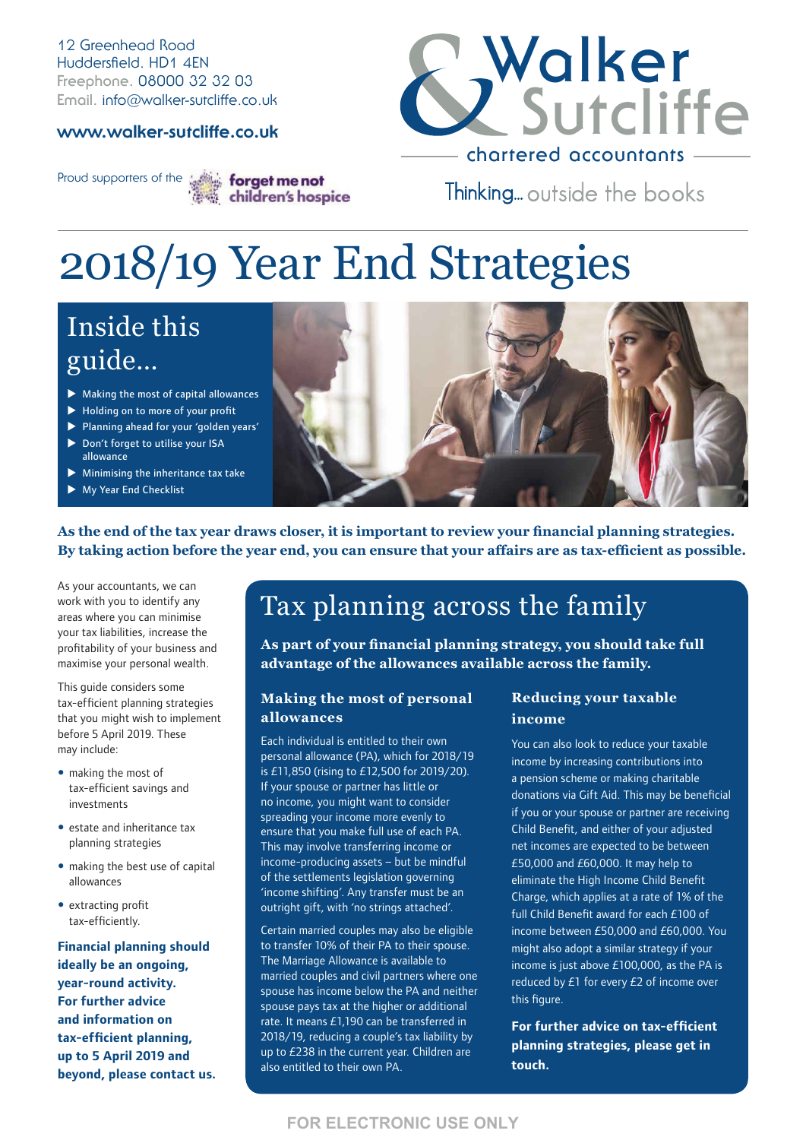12 Greenhead Road Huddersfield. HD1 4EN **Freephone.** 08000 32 32 03 **Email.** info@walker-sutcliffe.co.uk

#### **www.walker-sutcliffe.co.uk**



Proud supporters of the strain forget me not children's hospice

Thinking... outside the books

# 2018/19 Year End Strategies

# Inside this guide…

- $\blacktriangleright$  Making the most of capital allowances
- $\blacktriangleright$  Holding on to more of your profit
- $\blacktriangleright$  Planning ahead for your 'golden years'
- ▶ Don't forget to utilise your ISA allowance
- $\blacktriangleright$  Minimising the inheritance tax take
- $\blacktriangleright$  My Year End Checklist



**As the end of the tax year draws closer, it is important to review your financial planning strategies. By taking action before the year end, you can ensure that your affairs are as tax-efficient as possible.**

As your accountants, we can work with you to identify any areas where you can minimise your tax liabilities, increase the profitability of your business and maximise your personal wealth.

This guide considers some tax-efficient planning strategies that you might wish to implement before 5 April 2019. These may include:

- making the most of tax-efficient savings and investments
- estate and inheritance tax planning strategies
- making the best use of capital allowances
- extracting profit tax-efficiently.

**Financial planning should ideally be an ongoing, year-round activity. For further advice and information on tax-efficient planning, up to 5 April 2019 and beyond, please contact us.**

# Tax planning across the family

**As part of your financial planning strategy, you should take full advantage of the allowances available across the family.** 

#### **Making the most of personal allowances**

Each individual is entitled to their own personal allowance (PA), which for 2018/19 is £11,850 (rising to £12,500 for 2019/20). If your spouse or partner has little or no income, you might want to consider spreading your income more evenly to ensure that you make full use of each PA. This may involve transferring income or income-producing assets – but be mindful of the settlements legislation governing 'income shifting'. Any transfer must be an outright gift, with 'no strings attached'.

Certain married couples may also be eligible to transfer 10% of their PA to their spouse. The Marriage Allowance is available to married couples and civil partners where one spouse has income below the PA and neither spouse pays tax at the higher or additional rate. It means £1,190 can be transferred in 2018/19, reducing a couple's tax liability by up to £238 in the current year. Children are also entitled to their own PA.

#### **Reducing your taxable income**

You can also look to reduce your taxable income by increasing contributions into a pension scheme or making charitable donations via Gift Aid. This may be beneficial if you or your spouse or partner are receiving Child Benefit, and either of your adjusted net incomes are expected to be between £50,000 and £60,000. It may help to eliminate the High Income Child Benefit Charge, which applies at a rate of 1% of the full Child Benefit award for each £100 of income between £50,000 and £60,000. You might also adopt a similar strategy if your income is just above £100,000, as the PA is reduced by £1 for every £2 of income over this figure.

**For further advice on tax-efficient planning strategies, please get in touch.**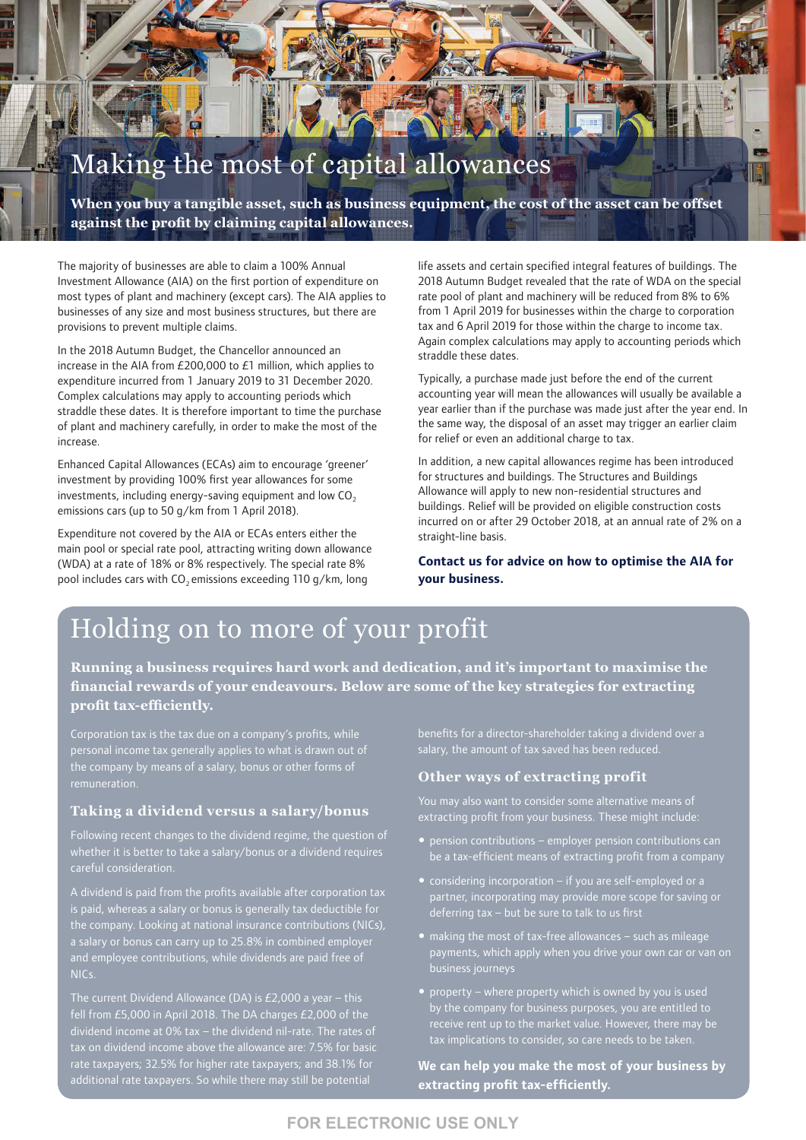# Making the most of capital allowances

**When you buy a tangible asset, such as business equipment, the cost of the asset can be offset against the profit by claiming capital allowances.**

The majority of businesses are able to claim a 100% Annual Investment Allowance (AIA) on the first portion of expenditure on most types of plant and machinery (except cars). The AIA applies to businesses of any size and most business structures, but there are provisions to prevent multiple claims.

In the 2018 Autumn Budget, the Chancellor announced an increase in the AIA from £200,000 to £1 million, which applies to expenditure incurred from 1 January 2019 to 31 December 2020. Complex calculations may apply to accounting periods which straddle these dates. It is therefore important to time the purchase of plant and machinery carefully, in order to make the most of the increase.

Enhanced Capital Allowances (ECAs) aim to encourage 'greener' investment by providing 100% first year allowances for some investments, including energy-saving equipment and low  $CO<sub>2</sub>$ emissions cars (up to 50 g/km from 1 April 2018).

Expenditure not covered by the AIA or ECAs enters either the main pool or special rate pool, attracting writing down allowance (WDA) at a rate of 18% or 8% respectively. The special rate 8% pool includes cars with  $CO<sub>2</sub>$  emissions exceeding 110 g/km, long

life assets and certain specified integral features of buildings. The 2018 Autumn Budget revealed that the rate of WDA on the special rate pool of plant and machinery will be reduced from 8% to 6% from 1 April 2019 for businesses within the charge to corporation tax and 6 April 2019 for those within the charge to income tax. Again complex calculations may apply to accounting periods which straddle these dates.

Typically, a purchase made just before the end of the current accounting year will mean the allowances will usually be available a year earlier than if the purchase was made just after the year end. In the same way, the disposal of an asset may trigger an earlier claim for relief or even an additional charge to tax.

In addition, a new capital allowances regime has been introduced for structures and buildings. The Structures and Buildings Allowance will apply to new non-residential structures and buildings. Relief will be provided on eligible construction costs incurred on or after 29 October 2018, at an annual rate of 2% on a straight-line basis.

**Contact us for advice on how to optimise the AIA for your business.** 

# Holding on to more of your profit

**Running a business requires hard work and dedication, and it's important to maximise the financial rewards of your endeavours. Below are some of the key strategies for extracting profit tax-efficiently.**

Corporation tax is the tax due on a company's profits, while personal income tax generally applies to what is drawn out of the company by means of a salary, bonus or other forms of

#### **Taking a dividend versus a salary/bonus**

Following recent changes to the dividend regime, the question of whether it is better to take a salary/bonus or a dividend requires careful consideration.

is paid, whereas a salary or bonus is generally tax deductible for the company. Looking at national insurance contributions (NICs), a salary or bonus can carry up to 25.8% in combined employer and employee contributions, while dividends are paid free of NICs.

The current Dividend Allowance (DA) is £2,000 a year – this fell from £5,000 in April 2018. The DA charges £2,000 of the dividend income at 0% tax – the dividend nil-rate. The rates of rate taxpayers; 32.5% for higher rate taxpayers; and 38.1% for additional rate taxpayers. So while there may still be potential

benefits for a director-shareholder taking a dividend over a

#### **Other ways of extracting profit**

extracting profit from your business. These might include:

- $\bullet$  pension contributions employer pension contributions can be a tax-efficient means of extracting profit from a company
- considering incorporation if you are self-employed or a partner, incorporating may provide more scope for saving or deferring tax – but be sure to talk to us first
- making the most of tax-free allowances such as mileage payments, which apply when you drive your own car or van on
- property where property which is owned by you is used by the company for business purposes, you are entitled to tax implications to consider, so care needs to be taken.

**We can help you make the most of your business by extracting profit tax-efficiently.**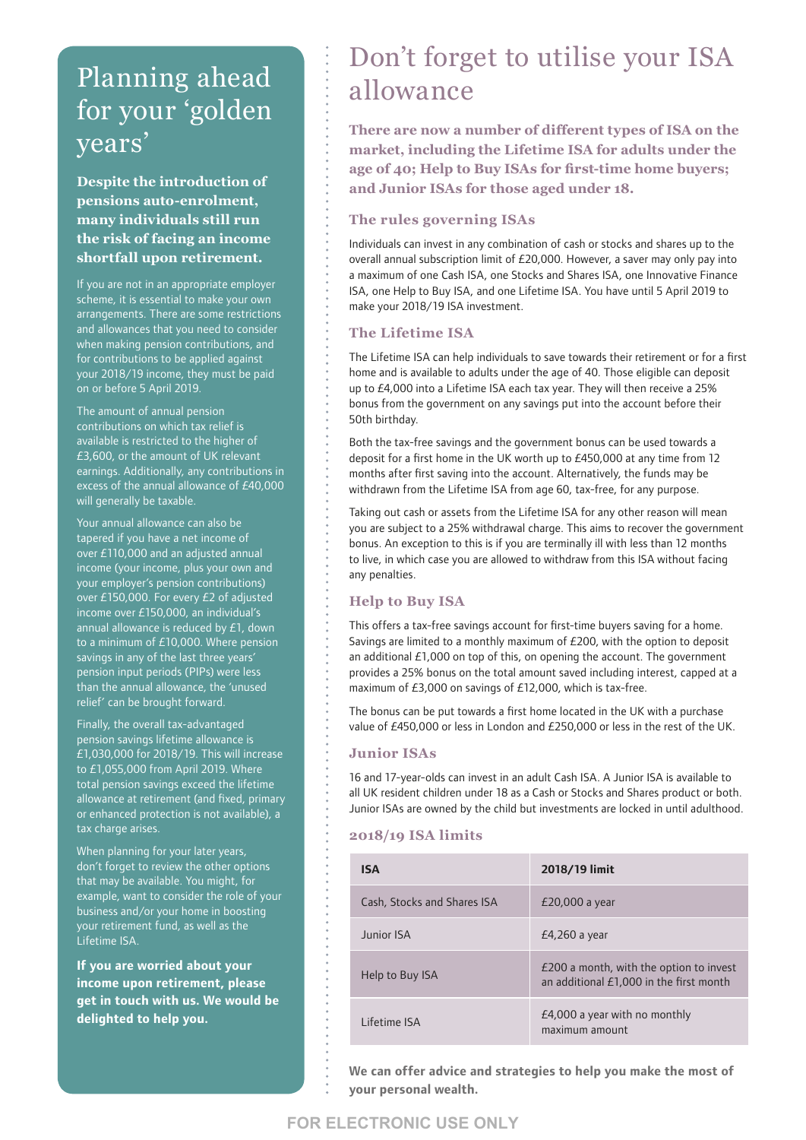## Planning ahead for your 'golden years'

**Despite the introduction of pensions auto-enrolment, many individuals still run the risk of facing an income shortfall upon retirement.** 

If you are not in an appropriate employer scheme, it is essential to make your own arrangements. There are some restrictions and allowances that you need to consider when making pension contributions, and for contributions to be applied against your 2018/19 income, they must be paid on or before 5 April 2019.

The amount of annual pension contributions on which tax relief is available is restricted to the higher of £3,600, or the amount of UK relevant earnings. Additionally, any contributions in excess of the annual allowance of £40,000 will generally be taxable.

Your annual allowance can also be tapered if you have a net income of over £110,000 and an adjusted annual income (your income, plus your own and your employer's pension contributions) over £150,000. For every £2 of adjusted income over £150,000, an individual's annual allowance is reduced by £1, down to a minimum of £10,000. Where pension savings in any of the last three years' pension input periods (PIPs) were less than the annual allowance, the 'unused relief' can be brought forward.

Finally, the overall tax-advantaged pension savings lifetime allowance is £1,030,000 for 2018/19. This will increase to £1,055,000 from April 2019. Where total pension savings exceed the lifetime allowance at retirement (and fixed, primary or enhanced protection is not available), a tax charge arises.

When planning for your later years, don't forget to review the other options that may be available. You might, for example, want to consider the role of your business and/or your home in boosting your retirement fund, as well as the Lifetime ISA.

**If you are worried about your income upon retirement, please get in touch with us. We would be delighted to help you.** 

### Don't forget to utilise your ISA allowance

**There are now a number of different types of ISA on the market, including the Lifetime ISA for adults under the age of 40; Help to Buy ISAs for first-time home buyers; and Junior ISAs for those aged under 18.** 

#### **The rules governing ISAs**

Individuals can invest in any combination of cash or stocks and shares up to the overall annual subscription limit of £20,000. However, a saver may only pay into a maximum of one Cash ISA, one Stocks and Shares ISA, one Innovative Finance ISA, one Help to Buy ISA, and one Lifetime ISA. You have until 5 April 2019 to make your 2018/19 ISA investment.

#### **The Lifetime ISA**

The Lifetime ISA can help individuals to save towards their retirement or for a first home and is available to adults under the age of 40. Those eligible can deposit up to £4,000 into a Lifetime ISA each tax year. They will then receive a 25% bonus from the government on any savings put into the account before their 50th birthday.

Both the tax-free savings and the government bonus can be used towards a deposit for a first home in the UK worth up to £450,000 at any time from 12 months after first saving into the account. Alternatively, the funds may be withdrawn from the Lifetime ISA from age 60, tax-free, for any purpose.

Taking out cash or assets from the Lifetime ISA for any other reason will mean you are subject to a 25% withdrawal charge. This aims to recover the government bonus. An exception to this is if you are terminally ill with less than 12 months to live, in which case you are allowed to withdraw from this ISA without facing any penalties.

#### **Help to Buy ISA**

This offers a tax-free savings account for first-time buyers saving for a home. Savings are limited to a monthly maximum of £200, with the option to deposit an additional £1,000 on top of this, on opening the account. The government provides a 25% bonus on the total amount saved including interest, capped at a maximum of £3,000 on savings of £12,000, which is tax-free.

The bonus can be put towards a first home located in the UK with a purchase value of £450,000 or less in London and £250,000 or less in the rest of the UK.

#### **Junior ISAs**

16 and 17-year-olds can invest in an adult Cash ISA. A Junior ISA is available to all UK resident children under 18 as a Cash or Stocks and Shares product or both. Junior ISAs are owned by the child but investments are locked in until adulthood.

#### **2018/19 ISA limits**

| <b>ISA</b>                  | 2018/19 limit                                                                      |
|-----------------------------|------------------------------------------------------------------------------------|
| Cash, Stocks and Shares ISA | $E20,000$ a year                                                                   |
| Junior ISA                  | $E4,260$ a year                                                                    |
| Help to Buy ISA             | £200 a month, with the option to invest<br>an additional £1,000 in the first month |
| I ifetime ISA               | £4,000 a year with no monthly<br>maximum amount                                    |

**We can offer advice and strategies to help you make the most of your personal wealth.**